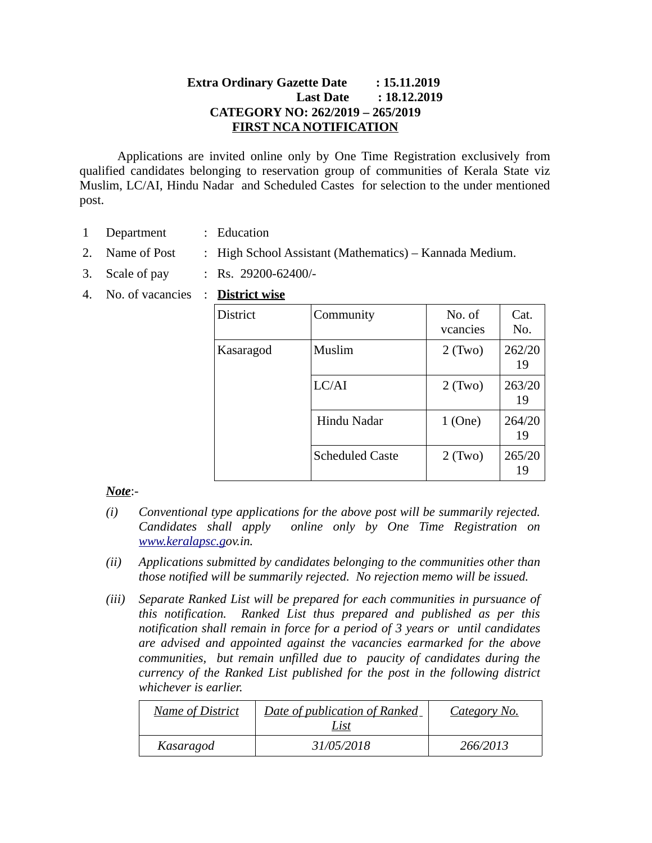# **Extra Ordinary Gazette Date : 15.11.2019 Last Date : 18.12.2019 CATEGORY NO: 262/2019 – 265/2019 FIRST NCA NOTIFICATION**

Applications are invited online only by One Time Registration exclusively from qualified candidates belonging to reservation group of communities of Kerala State viz Muslim, LC/AI, Hindu Nadar and Scheduled Castes for selection to the under mentioned post.

- 1 Department : Education
- 2. Name of Post : High School Assistant (Mathematics) Kannada Medium.
- 3. Scale of pay : Rs. 29200-62400/-
- 4. No. of vacancies : **District wise**

| <b>District</b> | Community              | No. of<br>vcancies | Cat.<br>No.  |
|-----------------|------------------------|--------------------|--------------|
| Kasaragod       | Muslim                 | $2$ (Two)          | 262/20<br>19 |
|                 | LC/AI                  | $2$ (Two)          | 263/20<br>19 |
|                 | Hindu Nadar            | 1(One)             | 264/20<br>19 |
|                 | <b>Scheduled Caste</b> | $2$ (Two)          | 265/20<br>19 |

# *Note*:-

- *(i) Conventional type applications for the above post will be summarily rejected. Candidates shall apply online only by One Time Registration on [www.keralapsc.go](http://www.keralapsc.org/)v.in.*
- *(ii) Applications submitted by candidates belonging to the communities other than those notified will be summarily rejected. No rejection memo will be issued.*
- *(iii) Separate Ranked List will be prepared for each communities in pursuance of this notification. Ranked List thus prepared and published as per this notification shall remain in force for a period of 3 years or until candidates are advised and appointed against the vacancies earmarked for the above communities, but remain unfilled due to paucity of candidates during the currency of the Ranked List published for the post in the following district whichever is earlier.*

| <b>Name of District</b> | Date of publication of Ranked<br>List | Category No. |
|-------------------------|---------------------------------------|--------------|
| Kasaragod               | 31/05/2018                            | 266/2013     |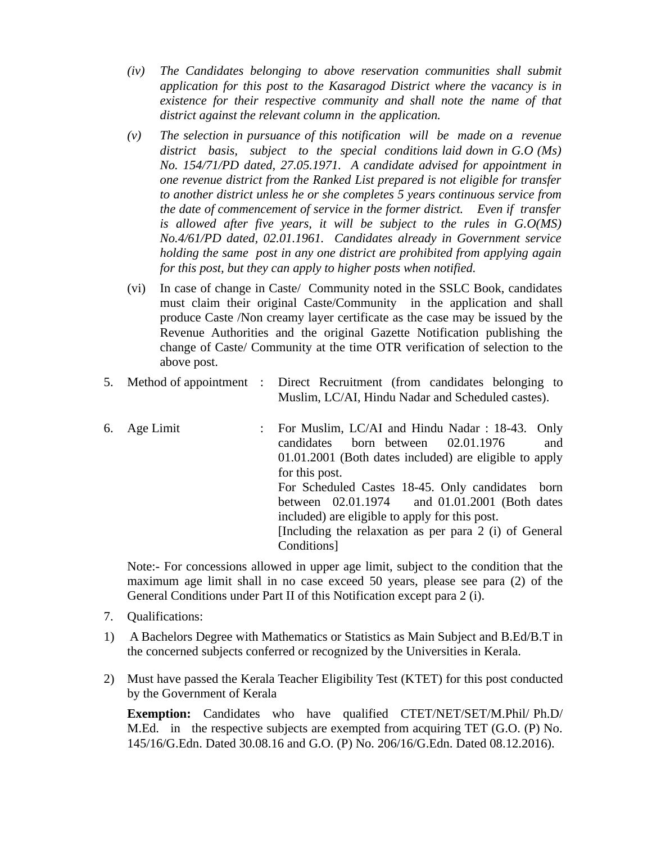- *(iv) The Candidates belonging to above reservation communities shall submit application for this post to the Kasaragod District where the vacancy is in existence for their respective community and shall note the name of that district against the relevant column in the application.*
- *(v) The selection in pursuance of this notification will be made on a revenue district basis, subject to the special conditions laid down in G.O (Ms) No. 154/71/PD dated, 27.05.1971. A candidate advised for appointment in one revenue district from the Ranked List prepared is not eligible for transfer to another district unless he or she completes 5 years continuous service from the date of commencement of service in the former district. Even if transfer is allowed after five years, it will be subject to the rules in G.O(MS) No.4/61/PD dated, 02.01.1961. Candidates already in Government service holding the same post in any one district are prohibited from applying again for this post, but they can apply to higher posts when notified.*
- (vi) In case of change in Caste/ Community noted in the SSLC Book, candidates must claim their original Caste/Community in the application and shall produce Caste /Non creamy layer certificate as the case may be issued by the Revenue Authorities and the original Gazette Notification publishing the change of Caste/ Community at the time OTR verification of selection to the above post.
- 5. Method of appointment : Direct Recruitment (from candidates belonging to Muslim, LC/AI, Hindu Nadar and Scheduled castes).
- 6. Age Limit : For Muslim, LC/AI and Hindu Nadar : 18-43. Only candidates born between 02.01.1976 and 01.01.2001 (Both dates included) are eligible to apply for this post. For Scheduled Castes 18-45. Only candidates born between 02.01.1974 and 01.01.2001 (Both dates included) are eligible to apply for this post. [Including the relaxation as per para 2 (i) of General Conditions]

Note:- For concessions allowed in upper age limit, subject to the condition that the maximum age limit shall in no case exceed 50 years, please see para (2) of the General Conditions under Part II of this Notification except para 2 (i).

- 7. Qualifications:
- 1) A Bachelors Degree with Mathematics or Statistics as Main Subject and B.Ed/B.T in the concerned subjects conferred or recognized by the Universities in Kerala.
- 2) Must have passed the Kerala Teacher Eligibility Test (KTET) for this post conducted by the Government of Kerala

**Exemption:** Candidates who have qualified CTET/NET/SET/M.Phil/ Ph.D/ M.Ed. in the respective subjects are exempted from acquiring TET (G.O. (P) No. 145/16/G.Edn. Dated 30.08.16 and G.O. (P) No. 206/16/G.Edn. Dated 08.12.2016).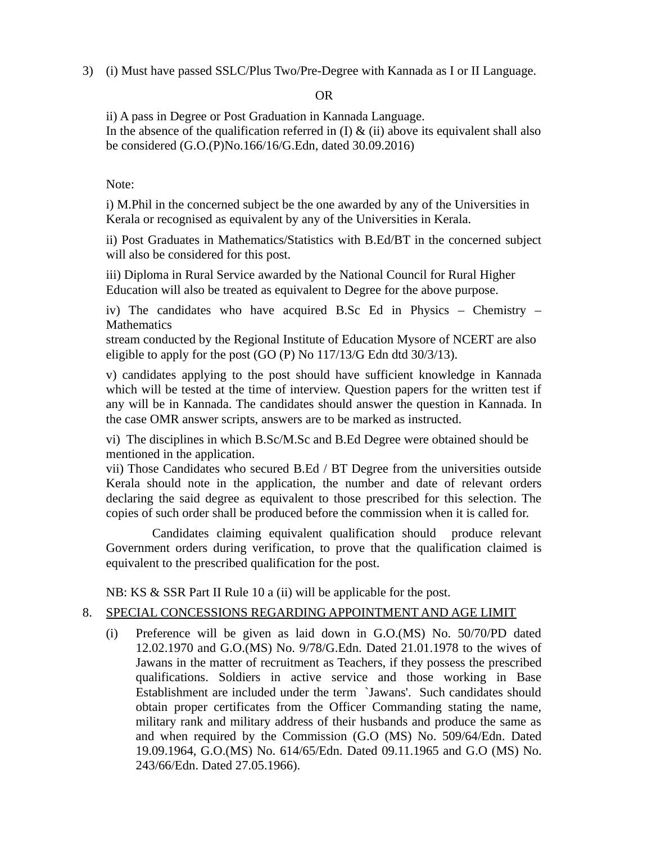3) (i) Must have passed SSLC/Plus Two/Pre-Degree with Kannada as I or II Language.

# OR

ii) A pass in Degree or Post Graduation in Kannada Language. In the absence of the qualification referred in  $(I)$  &  $(ii)$  above its equivalent shall also be considered (G.O.(P)No.166/16/G.Edn, dated 30.09.2016)

# Note:

i) M.Phil in the concerned subject be the one awarded by any of the Universities in Kerala or recognised as equivalent by any of the Universities in Kerala.

ii) Post Graduates in Mathematics/Statistics with B.Ed/BT in the concerned subject will also be considered for this post.

iii) Diploma in Rural Service awarded by the National Council for Rural Higher Education will also be treated as equivalent to Degree for the above purpose.

iv) The candidates who have acquired B.Sc Ed in Physics – Chemistry – **Mathematics** 

stream conducted by the Regional Institute of Education Mysore of NCERT are also eligible to apply for the post (GO (P) No 117/13/G Edn dtd 30/3/13).

v) candidates applying to the post should have sufficient knowledge in Kannada which will be tested at the time of interview. Question papers for the written test if any will be in Kannada. The candidates should answer the question in Kannada. In the case OMR answer scripts, answers are to be marked as instructed.

vi) The disciplines in which B.Sc/M.Sc and B.Ed Degree were obtained should be mentioned in the application.

vii) Those Candidates who secured B.Ed / BT Degree from the universities outside Kerala should note in the application, the number and date of relevant orders declaring the said degree as equivalent to those prescribed for this selection. The copies of such order shall be produced before the commission when it is called for.

 Candidates claiming equivalent qualification should produce relevant Government orders during verification, to prove that the qualification claimed is equivalent to the prescribed qualification for the post.

NB: KS & SSR Part II Rule 10 a (ii) will be applicable for the post.

# 8. SPECIAL CONCESSIONS REGARDING APPOINTMENT AND AGE LIMIT

(i) Preference will be given as laid down in G.O.(MS) No. 50/70/PD dated 12.02.1970 and G.O.(MS) No. 9/78/G.Edn. Dated 21.01.1978 to the wives of Jawans in the matter of recruitment as Teachers, if they possess the prescribed qualifications. Soldiers in active service and those working in Base Establishment are included under the term `Jawans'. Such candidates should obtain proper certificates from the Officer Commanding stating the name, military rank and military address of their husbands and produce the same as and when required by the Commission (G.O (MS) No. 509/64/Edn. Dated 19.09.1964, G.O.(MS) No. 614/65/Edn. Dated 09.11.1965 and G.O (MS) No. 243/66/Edn. Dated 27.05.1966).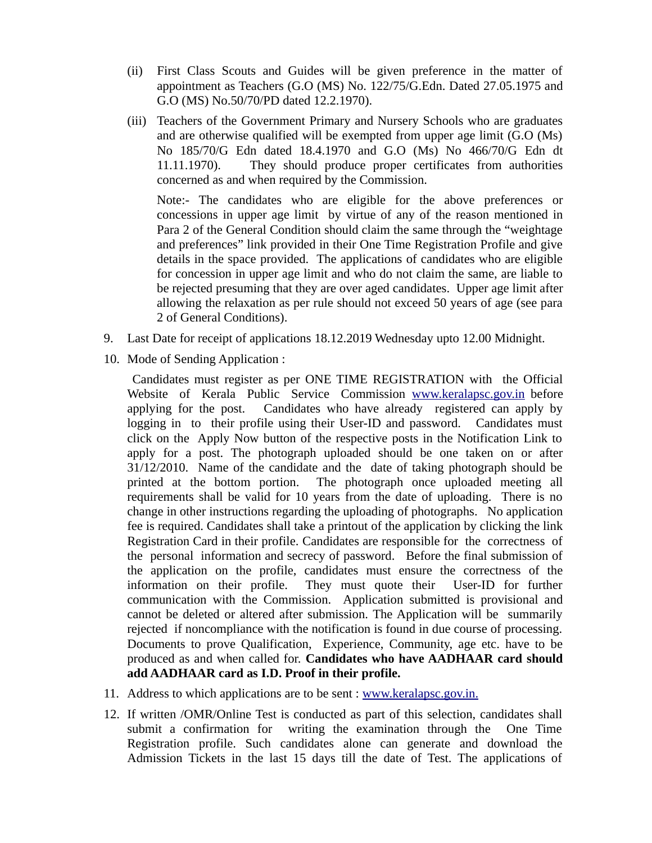- (ii) First Class Scouts and Guides will be given preference in the matter of appointment as Teachers (G.O (MS) No. 122/75/G.Edn. Dated 27.05.1975 and G.O (MS) No.50/70/PD dated 12.2.1970).
- (iii) Teachers of the Government Primary and Nursery Schools who are graduates and are otherwise qualified will be exempted from upper age limit (G.O (Ms) No 185/70/G Edn dated 18.4.1970 and G.O (Ms) No 466/70/G Edn dt 11.11.1970). They should produce proper certificates from authorities concerned as and when required by the Commission.

Note:- The candidates who are eligible for the above preferences or concessions in upper age limit by virtue of any of the reason mentioned in Para 2 of the General Condition should claim the same through the "weightage and preferences" link provided in their One Time Registration Profile and give details in the space provided. The applications of candidates who are eligible for concession in upper age limit and who do not claim the same, are liable to be rejected presuming that they are over aged candidates. Upper age limit after allowing the relaxation as per rule should not exceed 50 years of age (see para 2 of General Conditions).

- 9. Last Date for receipt of applications 18.12.2019 Wednesday upto 12.00 Midnight.
- 10. Mode of Sending Application :

 Candidates must register as per ONE TIME REGISTRATION with the Official Website of Kerala Public Service Commission [www.keralapsc.gov.in](http://www.keralapsc.gov.in/) before applying for the post. Candidates who have already registered can apply by logging in to their profile using their User-ID and password. Candidates must click on the Apply Now button of the respective posts in the Notification Link to apply for a post. The photograph uploaded should be one taken on or after 31/12/2010. Name of the candidate and the date of taking photograph should be printed at the bottom portion. The photograph once uploaded meeting all requirements shall be valid for 10 years from the date of uploading. There is no change in other instructions regarding the uploading of photographs. No application fee is required. Candidates shall take a printout of the application by clicking the link Registration Card in their profile. Candidates are responsible for the correctness of the personal information and secrecy of password. Before the final submission of the application on the profile, candidates must ensure the correctness of the information on their profile. They must quote their User-ID for further communication with the Commission. Application submitted is provisional and cannot be deleted or altered after submission. The Application will be summarily rejected if noncompliance with the notification is found in due course of processing. Documents to prove Qualification, Experience, Community, age etc. have to be produced as and when called for. **Candidates who have AADHAAR card should add AADHAAR card as I.D. Proof in their profile.**

- 11. Address to which applications are to be sent : [www.keralapsc.gov.in.](http://www.keralapsc.gov.in/)
- 12. If written /OMR/Online Test is conducted as part of this selection, candidates shall submit a confirmation for writing the examination through the One Time Registration profile. Such candidates alone can generate and download the Admission Tickets in the last 15 days till the date of Test. The applications of